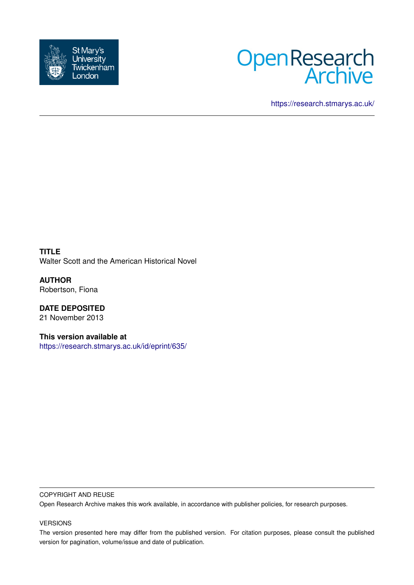



<https://research.stmarys.ac.uk/>

**TITLE** Walter Scott and the American Historical Novel

**AUTHOR** Robertson, Fiona

**DATE DEPOSITED** 21 November 2013

**This version available at** <https://research.stmarys.ac.uk/id/eprint/635/>

## COPYRIGHT AND REUSE

Open Research Archive makes this work available, in accordance with publisher policies, for research purposes.

## VERSIONS

The version presented here may differ from the published version. For citation purposes, please consult the published version for pagination, volume/issue and date of publication.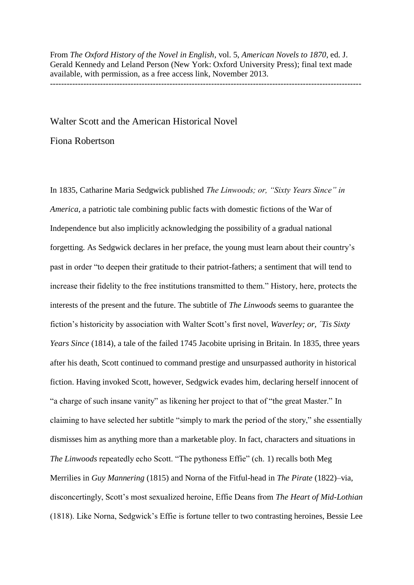From *The Oxford History of the Novel in English*, vol. 5, *American Novels to 1870*, ed. J. Gerald Kennedy and Leland Person (New York: Oxford University Press); final text made available, with permission, as a free access link, November 2013. ----------------------------------------------------------------------------------------------------------------

## Walter Scott and the American Historical Novel

Fiona Robertson

In 1835, Catharine Maria Sedgwick published *The Linwoods; or, "Sixty Years Since" in America*, a patriotic tale combining public facts with domestic fictions of the War of Independence but also implicitly acknowledging the possibility of a gradual national forgetting. As Sedgwick declares in her preface, the young must learn about their country's past in order "to deepen their gratitude to their patriot-fathers; a sentiment that will tend to increase their fidelity to the free institutions transmitted to them." History, here, protects the interests of the present and the future. The subtitle of *The Linwoods* seems to guarantee the fiction's historicity by association with Walter Scott's first novel, *Waverley; or, ´Tis Sixty Years Since* (1814), a tale of the failed 1745 Jacobite uprising in Britain. In 1835, three years after his death, Scott continued to command prestige and unsurpassed authority in historical fiction. Having invoked Scott, however, Sedgwick evades him, declaring herself innocent of "a charge of such insane vanity" as likening her project to that of "the great Master." In claiming to have selected her subtitle "simply to mark the period of the story," she essentially dismisses him as anything more than a marketable ploy. In fact, characters and situations in *The Linwoods* repeatedly echo Scott. "The pythoness Effie" (ch. 1) recalls both Meg Merrilies in *Guy Mannering* (1815) and Norna of the Fitful-head in *The Pirate* (1822)–via, disconcertingly, Scott's most sexualized heroine, Effie Deans from *The Heart of Mid-Lothian* (1818). Like Norna, Sedgwick's Effie is fortune teller to two contrasting heroines, Bessie Lee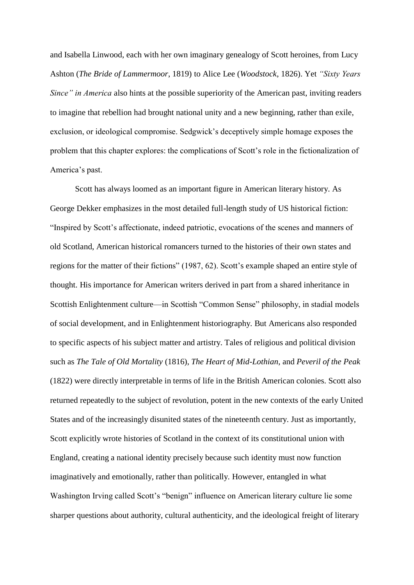and Isabella Linwood, each with her own imaginary genealogy of Scott heroines, from Lucy Ashton (*The Bride of Lammermoor*, 1819) to Alice Lee (*Woodstock*, 1826). Yet *"Sixty Years Since" in America* also hints at the possible superiority of the American past, inviting readers to imagine that rebellion had brought national unity and a new beginning, rather than exile, exclusion, or ideological compromise. Sedgwick's deceptively simple homage exposes the problem that this chapter explores: the complications of Scott's role in the fictionalization of America's past.

Scott has always loomed as an important figure in American literary history. As George Dekker emphasizes in the most detailed full-length study of US historical fiction: "Inspired by Scott's affectionate, indeed patriotic, evocations of the scenes and manners of old Scotland, American historical romancers turned to the histories of their own states and regions for the matter of their fictions" (1987, 62). Scott's example shaped an entire style of thought. His importance for American writers derived in part from a shared inheritance in Scottish Enlightenment culture—in Scottish "Common Sense" philosophy, in stadial models of social development, and in Enlightenment historiography. But Americans also responded to specific aspects of his subject matter and artistry. Tales of religious and political division such as *The Tale of Old Mortality* (1816), *The Heart of Mid-Lothian*, and *Peveril of the Peak* (1822) were directly interpretable in terms of life in the British American colonies. Scott also returned repeatedly to the subject of revolution, potent in the new contexts of the early United States and of the increasingly disunited states of the nineteenth century. Just as importantly, Scott explicitly wrote histories of Scotland in the context of its constitutional union with England, creating a national identity precisely because such identity must now function imaginatively and emotionally, rather than politically. However, entangled in what Washington Irving called Scott's "benign" influence on American literary culture lie some sharper questions about authority, cultural authenticity, and the ideological freight of literary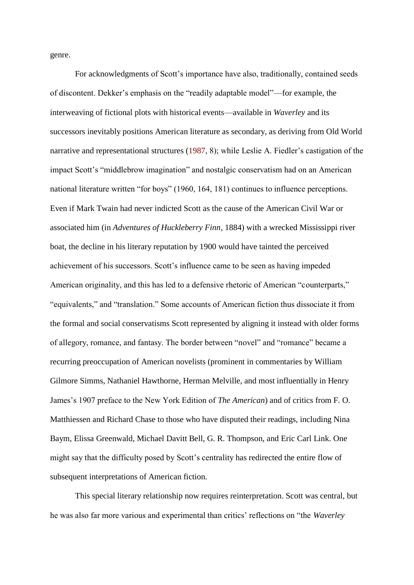genre.

For acknowledgments of Scott's importance have also, traditionally, contained seeds of discontent. Dekker's emphasis on the "readily adaptable model"—for example, the interweaving of fictional plots with historical events—available in *Waverley* and its successors inevitably positions American literature as secondary, as deriving from Old World narrative and representational structures (1987, 8); while Leslie A. Fiedler's castigation of the impact Scott's "middlebrow imagination" and nostalgic conservatism had on an American national literature written "for boys" (1960, 164, 181) continues to influence perceptions. Even if Mark Twain had never indicted Scott as the cause of the American Civil War or associated him (in *Adventures of Huckleberry Finn*, 1884) with a wrecked Mississippi river boat, the decline in his literary reputation by 1900 would have tainted the perceived achievement of his successors. Scott's influence came to be seen as having impeded American originality, and this has led to a defensive rhetoric of American "counterparts," "equivalents," and "translation." Some accounts of American fiction thus dissociate it from the formal and social conservatisms Scott represented by aligning it instead with older forms of allegory, romance, and fantasy. The border between "novel" and "romance" became a recurring preoccupation of American novelists (prominent in commentaries by William Gilmore Simms, Nathaniel Hawthorne, Herman Melville, and most influentially in Henry James's 1907 preface to the New York Edition of *The American*) and of critics from F. O. Matthiessen and Richard Chase to those who have disputed their readings, including Nina Baym, Elissa Greenwald, Michael Davitt Bell, G. R. Thompson, and Eric Carl Link. One might say that the difficulty posed by Scott's centrality has redirected the entire flow of subsequent interpretations of American fiction.

This special literary relationship now requires reinterpretation. Scott was central, but he was also far more various and experimental than critics' reflections on "the *Waverley*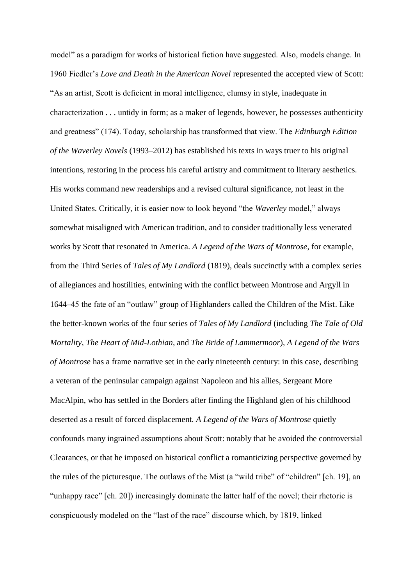model" as a paradigm for works of historical fiction have suggested. Also, models change. In 1960 Fiedler's *Love and Death in the American Novel* represented the accepted view of Scott: "As an artist, Scott is deficient in moral intelligence, clumsy in style, inadequate in characterization . . . untidy in form; as a maker of legends, however, he possesses authenticity and greatness" (174). Today, scholarship has transformed that view. The *Edinburgh Edition of the Waverley Novels* (1993–2012) has established his texts in ways truer to his original intentions, restoring in the process his careful artistry and commitment to literary aesthetics. His works command new readerships and a revised cultural significance, not least in the United States. Critically, it is easier now to look beyond "the *Waverley* model," always somewhat misaligned with American tradition, and to consider traditionally less venerated works by Scott that resonated in America. *A Legend of the Wars of Montrose*, for example, from the Third Series of *Tales of My Landlord* (1819), deals succinctly with a complex series of allegiances and hostilities, entwining with the conflict between Montrose and Argyll in 1644–45 the fate of an "outlaw" group of Highlanders called the Children of the Mist. Like the better-known works of the four series of *Tales of My Landlord* (including *The Tale of Old Mortality*, *The Heart of Mid-Lothian*, and *The Bride of Lammermoor*), *A Legend of the Wars of Montrose* has a frame narrative set in the early nineteenth century: in this case, describing a veteran of the peninsular campaign against Napoleon and his allies, Sergeant More MacAlpin, who has settled in the Borders after finding the Highland glen of his childhood deserted as a result of forced displacement. *A Legend of the Wars of Montrose* quietly confounds many ingrained assumptions about Scott: notably that he avoided the controversial Clearances, or that he imposed on historical conflict a romanticizing perspective governed by the rules of the picturesque. The outlaws of the Mist (a "wild tribe" of "children" [ch. 19], an "unhappy race" [ch. 20]) increasingly dominate the latter half of the novel; their rhetoric is conspicuously modeled on the "last of the race" discourse which, by 1819, linked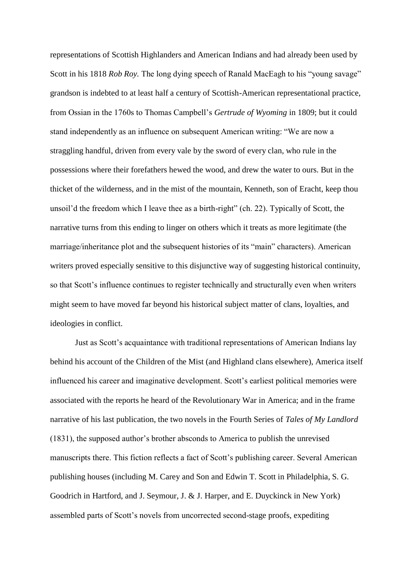representations of Scottish Highlanders and American Indians and had already been used by Scott in his 1818 *Rob Roy.* The long dying speech of Ranald MacEagh to his "young savage" grandson is indebted to at least half a century of Scottish-American representational practice, from Ossian in the 1760s to Thomas Campbell's *Gertrude of Wyoming* in 1809; but it could stand independently as an influence on subsequent American writing: "We are now a straggling handful, driven from every vale by the sword of every clan, who rule in the possessions where their forefathers hewed the wood, and drew the water to ours. But in the thicket of the wilderness, and in the mist of the mountain, Kenneth, son of Eracht, keep thou unsoil'd the freedom which I leave thee as a birth-right" (ch. 22). Typically of Scott, the narrative turns from this ending to linger on others which it treats as more legitimate (the marriage/inheritance plot and the subsequent histories of its "main" characters). American writers proved especially sensitive to this disjunctive way of suggesting historical continuity, so that Scott's influence continues to register technically and structurally even when writers might seem to have moved far beyond his historical subject matter of clans, loyalties, and ideologies in conflict.

Just as Scott's acquaintance with traditional representations of American Indians lay behind his account of the Children of the Mist (and Highland clans elsewhere), America itself influenced his career and imaginative development. Scott's earliest political memories were associated with the reports he heard of the Revolutionary War in America; and in the frame narrative of his last publication, the two novels in the Fourth Series of *Tales of My Landlord* (1831), the supposed author's brother absconds to America to publish the unrevised manuscripts there. This fiction reflects a fact of Scott's publishing career. Several American publishing houses (including M. Carey and Son and Edwin T. Scott in Philadelphia, S. G. Goodrich in Hartford, and J. Seymour, J. & J. Harper, and E. Duyckinck in New York) assembled parts of Scott's novels from uncorrected second-stage proofs, expediting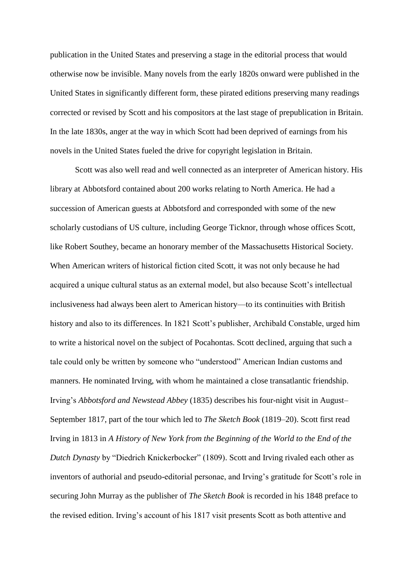publication in the United States and preserving a stage in the editorial process that would otherwise now be invisible. Many novels from the early 1820s onward were published in the United States in significantly different form, these pirated editions preserving many readings corrected or revised by Scott and his compositors at the last stage of prepublication in Britain. In the late 1830s, anger at the way in which Scott had been deprived of earnings from his novels in the United States fueled the drive for copyright legislation in Britain.

Scott was also well read and well connected as an interpreter of American history. His library at Abbotsford contained about 200 works relating to North America. He had a succession of American guests at Abbotsford and corresponded with some of the new scholarly custodians of US culture, including George Ticknor, through whose offices Scott, like Robert Southey, became an honorary member of the Massachusetts Historical Society. When American writers of historical fiction cited Scott, it was not only because he had acquired a unique cultural status as an external model, but also because Scott's intellectual inclusiveness had always been alert to American history—to its continuities with British history and also to its differences. In 1821 Scott's publisher, Archibald Constable, urged him to write a historical novel on the subject of Pocahontas. Scott declined, arguing that such a tale could only be written by someone who "understood" American Indian customs and manners. He nominated Irving, with whom he maintained a close transatlantic friendship. Irving's *Abbotsford and Newstead Abbey* (1835) describes his four-night visit in August– September 1817, part of the tour which led to *The Sketch Book* (1819–20). Scott first read Irving in 1813 in *A History of New York from the Beginning of the World to the End of the Dutch Dynasty* by "Diedrich Knickerbocker" (1809). Scott and Irving rivaled each other as inventors of authorial and pseudo-editorial personae, and Irving's gratitude for Scott's role in securing John Murray as the publisher of *The Sketch Book* is recorded in his 1848 preface to the revised edition. Irving's account of his 1817 visit presents Scott as both attentive and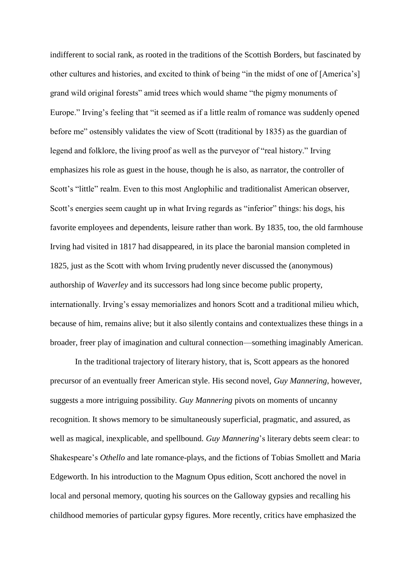indifferent to social rank, as rooted in the traditions of the Scottish Borders, but fascinated by other cultures and histories, and excited to think of being "in the midst of one of [America's] grand wild original forests" amid trees which would shame "the pigmy monuments of Europe." Irving's feeling that "it seemed as if a little realm of romance was suddenly opened before me" ostensibly validates the view of Scott (traditional by 1835) as the guardian of legend and folklore, the living proof as well as the purveyor of "real history." Irving emphasizes his role as guest in the house, though he is also, as narrator, the controller of Scott's "little" realm. Even to this most Anglophilic and traditionalist American observer, Scott's energies seem caught up in what Irving regards as "inferior" things: his dogs, his favorite employees and dependents, leisure rather than work. By 1835, too, the old farmhouse Irving had visited in 1817 had disappeared, in its place the baronial mansion completed in 1825, just as the Scott with whom Irving prudently never discussed the (anonymous) authorship of *Waverley* and its successors had long since become public property, internationally. Irving's essay memorializes and honors Scott and a traditional milieu which, because of him, remains alive; but it also silently contains and contextualizes these things in a broader, freer play of imagination and cultural connection—something imaginably American.

In the traditional trajectory of literary history, that is, Scott appears as the honored precursor of an eventually freer American style. His second novel, *Guy Mannering*, however, suggests a more intriguing possibility. *Guy Mannering* pivots on moments of uncanny recognition. It shows memory to be simultaneously superficial, pragmatic, and assured, as well as magical, inexplicable, and spellbound. *Guy Mannering*'s literary debts seem clear: to Shakespeare's *Othello* and late romance-plays, and the fictions of Tobias Smollett and Maria Edgeworth. In his introduction to the Magnum Opus edition, Scott anchored the novel in local and personal memory, quoting his sources on the Galloway gypsies and recalling his childhood memories of particular gypsy figures. More recently, critics have emphasized the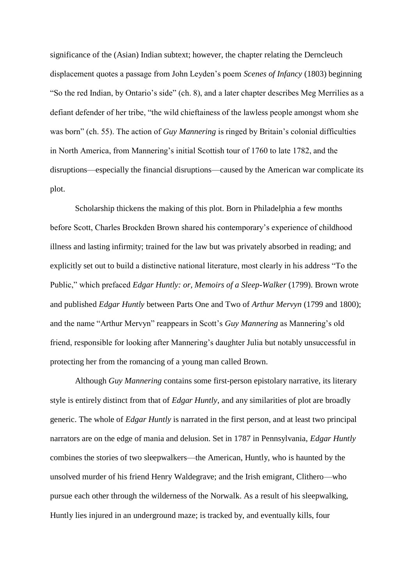significance of the (Asian) Indian subtext; however, the chapter relating the Derncleuch displacement quotes a passage from John Leyden's poem *Scenes of Infancy* (1803) beginning "So the red Indian, by Ontario's side" (ch. 8), and a later chapter describes Meg Merrilies as a defiant defender of her tribe, "the wild chieftainess of the lawless people amongst whom she was born" (ch. 55). The action of *Guy Mannering* is ringed by Britain's colonial difficulties in North America, from Mannering's initial Scottish tour of 1760 to late 1782, and the disruptions—especially the financial disruptions—caused by the American war complicate its plot.

Scholarship thickens the making of this plot. Born in Philadelphia a few months before Scott, Charles Brockden Brown shared his contemporary's experience of childhood illness and lasting infirmity; trained for the law but was privately absorbed in reading; and explicitly set out to build a distinctive national literature, most clearly in his address "To the Public," which prefaced *Edgar Huntly: or, Memoirs of a Sleep-Walker* (1799). Brown wrote and published *Edgar Huntly* between Parts One and Two of *Arthur Mervyn* (1799 and 1800); and the name "Arthur Mervyn" reappears in Scott's *Guy Mannering* as Mannering's old friend, responsible for looking after Mannering's daughter Julia but notably unsuccessful in protecting her from the romancing of a young man called Brown.

Although *Guy Mannering* contains some first-person epistolary narrative, its literary style is entirely distinct from that of *Edgar Huntly*, and any similarities of plot are broadly generic. The whole of *Edgar Huntly* is narrated in the first person, and at least two principal narrators are on the edge of mania and delusion. Set in 1787 in Pennsylvania, *Edgar Huntly* combines the stories of two sleepwalkers—the American, Huntly, who is haunted by the unsolved murder of his friend Henry Waldegrave; and the Irish emigrant, Clithero—who pursue each other through the wilderness of the Norwalk. As a result of his sleepwalking, Huntly lies injured in an underground maze; is tracked by, and eventually kills, four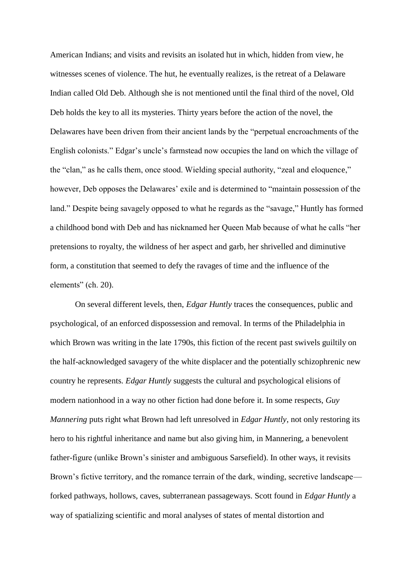American Indians; and visits and revisits an isolated hut in which, hidden from view, he witnesses scenes of violence. The hut, he eventually realizes, is the retreat of a Delaware Indian called Old Deb. Although she is not mentioned until the final third of the novel, Old Deb holds the key to all its mysteries. Thirty years before the action of the novel, the Delawares have been driven from their ancient lands by the "perpetual encroachments of the English colonists." Edgar's uncle's farmstead now occupies the land on which the village of the "clan," as he calls them, once stood. Wielding special authority, "zeal and eloquence," however, Deb opposes the Delawares' exile and is determined to "maintain possession of the land." Despite being savagely opposed to what he regards as the "savage," Huntly has formed a childhood bond with Deb and has nicknamed her Queen Mab because of what he calls "her pretensions to royalty, the wildness of her aspect and garb, her shrivelled and diminutive form, a constitution that seemed to defy the ravages of time and the influence of the elements" (ch. 20).

On several different levels, then, *Edgar Huntly* traces the consequences, public and psychological, of an enforced dispossession and removal. In terms of the Philadelphia in which Brown was writing in the late 1790s, this fiction of the recent past swivels guiltily on the half-acknowledged savagery of the white displacer and the potentially schizophrenic new country he represents. *Edgar Huntly* suggests the cultural and psychological elisions of modern nationhood in a way no other fiction had done before it. In some respects, *Guy Mannering* puts right what Brown had left unresolved in *Edgar Huntly*, not only restoring its hero to his rightful inheritance and name but also giving him, in Mannering, a benevolent father-figure (unlike Brown's sinister and ambiguous Sarsefield). In other ways, it revisits Brown's fictive territory, and the romance terrain of the dark, winding, secretive landscape forked pathways, hollows, caves, subterranean passageways. Scott found in *Edgar Huntly* a way of spatializing scientific and moral analyses of states of mental distortion and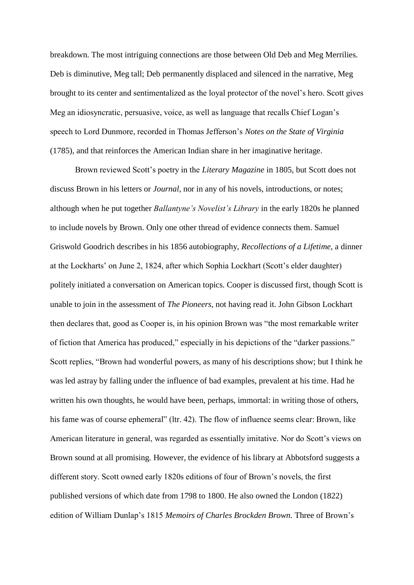breakdown. The most intriguing connections are those between Old Deb and Meg Merrilies. Deb is diminutive, Meg tall; Deb permanently displaced and silenced in the narrative, Meg brought to its center and sentimentalized as the loyal protector of the novel's hero. Scott gives Meg an idiosyncratic, persuasive, voice, as well as language that recalls Chief Logan's speech to Lord Dunmore, recorded in Thomas Jefferson's *Notes on the State of Virginia* (1785), and that reinforces the American Indian share in her imaginative heritage.

Brown reviewed Scott's poetry in the *Literary Magazine* in 1805, but Scott does not discuss Brown in his letters or *Journal*, nor in any of his novels, introductions, or notes; although when he put together *Ballantyne's Novelist's Library* in the early 1820s he planned to include novels by Brown. Only one other thread of evidence connects them. Samuel Griswold Goodrich describes in his 1856 autobiography, *Recollections of a Lifetime*, a dinner at the Lockharts' on June 2, 1824, after which Sophia Lockhart (Scott's elder daughter) politely initiated a conversation on American topics. Cooper is discussed first, though Scott is unable to join in the assessment of *The Pioneers*, not having read it. John Gibson Lockhart then declares that, good as Cooper is, in his opinion Brown was "the most remarkable writer of fiction that America has produced," especially in his depictions of the "darker passions." Scott replies, "Brown had wonderful powers, as many of his descriptions show; but I think he was led astray by falling under the influence of bad examples, prevalent at his time. Had he written his own thoughts, he would have been, perhaps, immortal: in writing those of others, his fame was of course ephemeral" (ltr. 42). The flow of influence seems clear: Brown, like American literature in general, was regarded as essentially imitative. Nor do Scott's views on Brown sound at all promising. However, the evidence of his library at Abbotsford suggests a different story. Scott owned early 1820s editions of four of Brown's novels, the first published versions of which date from 1798 to 1800. He also owned the London (1822) edition of William Dunlap's 1815 *Memoirs of Charles Brockden Brown.* Three of Brown's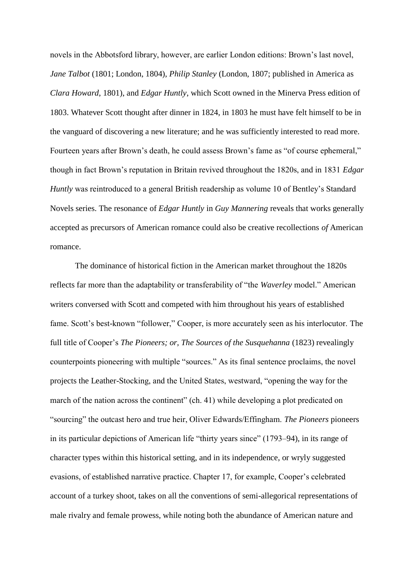novels in the Abbotsford library, however, are earlier London editions: Brown's last novel, *Jane Talbot* (1801; London, 1804), *Philip Stanley* (London, 1807; published in America as *Clara Howard*, 1801), and *Edgar Huntly*, which Scott owned in the Minerva Press edition of 1803. Whatever Scott thought after dinner in 1824, in 1803 he must have felt himself to be in the vanguard of discovering a new literature; and he was sufficiently interested to read more. Fourteen years after Brown's death, he could assess Brown's fame as "of course ephemeral," though in fact Brown's reputation in Britain revived throughout the 1820s, and in 1831 *Edgar Huntly* was reintroduced to a general British readership as volume 10 of Bentley's Standard Novels series. The resonance of *Edgar Huntly* in *Guy Mannering* reveals that works generally accepted as precursors of American romance could also be creative recollections *of* American romance.

The dominance of historical fiction in the American market throughout the 1820s reflects far more than the adaptability or transferability of "the *Waverley* model." American writers conversed with Scott and competed with him throughout his years of established fame. Scott's best-known "follower," Cooper, is more accurately seen as his interlocutor. The full title of Cooper's *The Pioneers; or, The Sources of the Susquehanna* (1823) revealingly counterpoints pioneering with multiple "sources." As its final sentence proclaims, the novel projects the Leather-Stocking, and the United States, westward, "opening the way for the march of the nation across the continent" (ch. 41) while developing a plot predicated on "sourcing" the outcast hero and true heir, Oliver Edwards/Effingham. *The Pioneers* pioneers in its particular depictions of American life "thirty years since" (1793–94), in its range of character types within this historical setting, and in its independence, or wryly suggested evasions, of established narrative practice. Chapter 17, for example, Cooper's celebrated account of a turkey shoot, takes on all the conventions of semi-allegorical representations of male rivalry and female prowess, while noting both the abundance of American nature and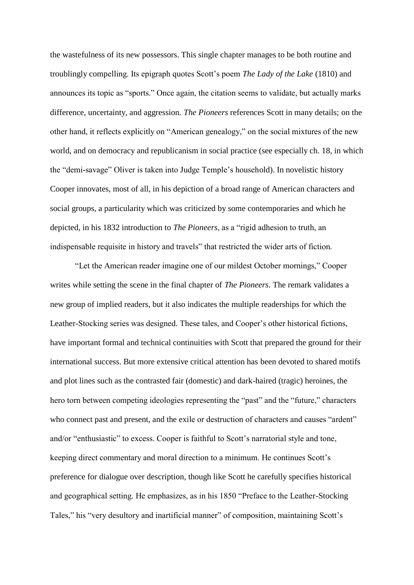the wastefulness of its new possessors. This single chapter manages to be both routine and troublingly compelling. Its epigraph quotes Scott's poem *The Lady of the Lake* (1810) and announces its topic as "sports." Once again, the citation seems to validate, but actually marks difference, uncertainty, and aggression. *The Pioneers* references Scott in many details; on the other hand, it reflects explicitly on "American genealogy," on the social mixtures of the new world, and on democracy and republicanism in social practice (see especially ch. 18, in which the "demi-savage" Oliver is taken into Judge Temple's household). In novelistic history Cooper innovates, most of all, in his depiction of a broad range of American characters and social groups, a particularity which was criticized by some contemporaries and which he depicted, in his 1832 introduction to *The Pioneers*, as a "rigid adhesion to truth, an indispensable requisite in history and travels" that restricted the wider arts of fiction.

"Let the American reader imagine one of our mildest October mornings," Cooper writes while setting the scene in the final chapter of *The Pioneers*. The remark validates a new group of implied readers, but it also indicates the multiple readerships for which the Leather-Stocking series was designed. These tales, and Cooper's other historical fictions, have important formal and technical continuities with Scott that prepared the ground for their international success. But more extensive critical attention has been devoted to shared motifs and plot lines such as the contrasted fair (domestic) and dark-haired (tragic) heroines, the hero torn between competing ideologies representing the "past" and the "future," characters who connect past and present, and the exile or destruction of characters and causes "ardent" and/or "enthusiastic" to excess. Cooper is faithful to Scott's narratorial style and tone, keeping direct commentary and moral direction to a minimum. He continues Scott's preference for dialogue over description, though like Scott he carefully specifies historical and geographical setting. He emphasizes, as in his 1850 "Preface to the Leather-Stocking Tales," his "very desultory and inartificial manner" of composition, maintaining Scott's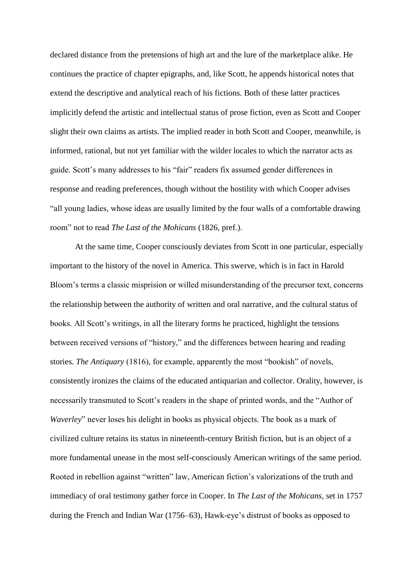declared distance from the pretensions of high art and the lure of the marketplace alike. He continues the practice of chapter epigraphs, and, like Scott, he appends historical notes that extend the descriptive and analytical reach of his fictions. Both of these latter practices implicitly defend the artistic and intellectual status of prose fiction, even as Scott and Cooper slight their own claims as artists. The implied reader in both Scott and Cooper, meanwhile, is informed, rational, but not yet familiar with the wilder locales to which the narrator acts as guide. Scott's many addresses to his "fair" readers fix assumed gender differences in response and reading preferences, though without the hostility with which Cooper advises "all young ladies, whose ideas are usually limited by the four walls of a comfortable drawing room" not to read *The Last of the Mohicans* (1826, pref.).

At the same time, Cooper consciously deviates from Scott in one particular, especially important to the history of the novel in America. This swerve, which is in fact in Harold Bloom's terms a classic misprision or willed misunderstanding of the precursor text, concerns the relationship between the authority of written and oral narrative, and the cultural status of books. All Scott's writings, in all the literary forms he practiced, highlight the tensions between received versions of "history," and the differences between hearing and reading stories. *The Antiquary* (1816), for example, apparently the most "bookish" of novels, consistently ironizes the claims of the educated antiquarian and collector. Orality, however, is necessarily transmuted to Scott's readers in the shape of printed words, and the "Author of *Waverley*" never loses his delight in books as physical objects. The book as a mark of civilized culture retains its status in nineteenth-century British fiction, but is an object of a more fundamental unease in the most self-consciously American writings of the same period. Rooted in rebellion against "written" law, American fiction's valorizations of the truth and immediacy of oral testimony gather force in Cooper. In *The Last of the Mohicans*, set in 1757 during the French and Indian War (1756–63), Hawk-eye's distrust of books as opposed to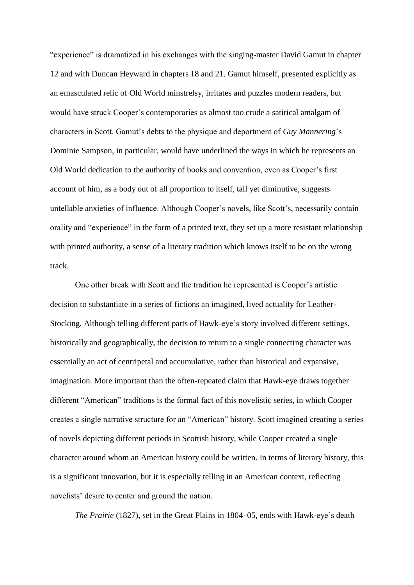"experience" is dramatized in his exchanges with the singing-master David Gamut in chapter 12 and with Duncan Heyward in chapters 18 and 21. Gamut himself, presented explicitly as an emasculated relic of Old World minstrelsy, irritates and puzzles modern readers, but would have struck Cooper's contemporaries as almost too crude a satirical amalgam of characters in Scott. Gamut's debts to the physique and deportment of *Guy Mannering*'s Dominie Sampson, in particular, would have underlined the ways in which he represents an Old World dedication to the authority of books and convention, even as Cooper's first account of him, as a body out of all proportion to itself, tall yet diminutive, suggests untellable anxieties of influence. Although Cooper's novels, like Scott's, necessarily contain orality and "experience" in the form of a printed text, they set up a more resistant relationship with printed authority, a sense of a literary tradition which knows itself to be on the wrong track.

One other break with Scott and the tradition he represented is Cooper's artistic decision to substantiate in a series of fictions an imagined, lived actuality for Leather-Stocking. Although telling different parts of Hawk-eye's story involved different settings, historically and geographically, the decision to return to a single connecting character was essentially an act of centripetal and accumulative, rather than historical and expansive, imagination. More important than the often-repeated claim that Hawk-eye draws together different "American" traditions is the formal fact of this novelistic series, in which Cooper creates a single narrative structure for an "American" history. Scott imagined creating a series of novels depicting different periods in Scottish history, while Cooper created a single character around whom an American history could be written. In terms of literary history, this is a significant innovation, but it is especially telling in an American context, reflecting novelists' desire to center and ground the nation.

*The Prairie* (1827), set in the Great Plains in 1804–05, ends with Hawk-eye's death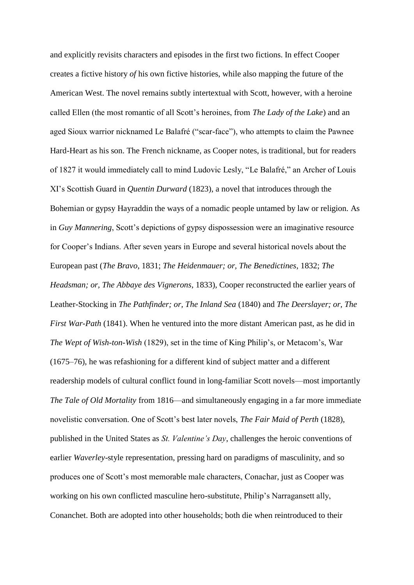and explicitly revisits characters and episodes in the first two fictions. In effect Cooper creates a fictive history *of* his own fictive histories, while also mapping the future of the American West. The novel remains subtly intertextual with Scott, however, with a heroine called Ellen (the most romantic of all Scott's heroines, from *The Lady of the Lake*) and an aged Sioux warrior nicknamed Le Balafré ("scar-face"), who attempts to claim the Pawnee Hard-Heart as his son. The French nickname, as Cooper notes, is traditional, but for readers of 1827 it would immediately call to mind Ludovic Lesly, "Le Balafré," an Archer of Louis XI's Scottish Guard in *Quentin Durward* (1823), a novel that introduces through the Bohemian or gypsy Hayraddin the ways of a nomadic people untamed by law or religion. As in *Guy Mannering*, Scott's depictions of gypsy dispossession were an imaginative resource for Cooper's Indians. After seven years in Europe and several historical novels about the European past (*The Bravo*, 1831; *The Heidenmauer; or, The Benedictines*, 1832; *The Headsman; or, The Abbaye des Vignerons*, 1833), Cooper reconstructed the earlier years of Leather-Stocking in *The Pathfinder; or, The Inland Sea* (1840) and *The Deerslayer; or, The First War-Path* (1841). When he ventured into the more distant American past, as he did in *The Wept of Wish-ton-Wish* (1829), set in the time of King Philip's, or Metacom's, War (1675–76), he was refashioning for a different kind of subject matter and a different readership models of cultural conflict found in long-familiar Scott novels—most importantly *The Tale of Old Mortality* from 1816—and simultaneously engaging in a far more immediate novelistic conversation. One of Scott's best later novels, *The Fair Maid of Perth* (1828), published in the United States as *St. Valentine's Day*, challenges the heroic conventions of earlier *Waverley*-style representation, pressing hard on paradigms of masculinity, and so produces one of Scott's most memorable male characters, Conachar, just as Cooper was working on his own conflicted masculine hero-substitute, Philip's Narragansett ally, Conanchet. Both are adopted into other households; both die when reintroduced to their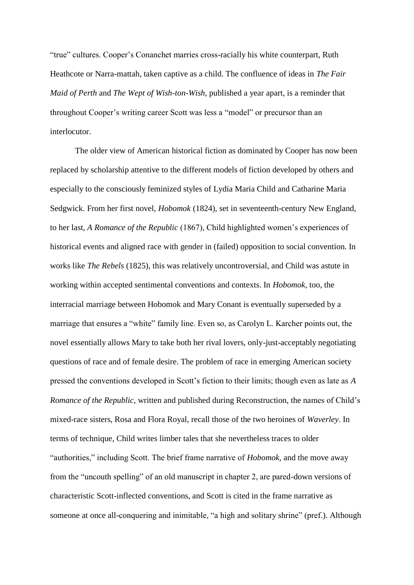"true" cultures. Cooper's Conanchet marries cross-racially his white counterpart, Ruth Heathcote or Narra-mattah, taken captive as a child. The confluence of ideas in *The Fair Maid of Perth* and *The Wept of Wish-ton-Wish*, published a year apart, is a reminder that throughout Cooper's writing career Scott was less a "model" or precursor than an interlocutor.

The older view of American historical fiction as dominated by Cooper has now been replaced by scholarship attentive to the different models of fiction developed by others and especially to the consciously feminized styles of Lydia Maria Child and Catharine Maria Sedgwick. From her first novel, *Hobomok* (1824), set in seventeenth-century New England, to her last, *A Romance of the Republic* (1867), Child highlighted women's experiences of historical events and aligned race with gender in (failed) opposition to social convention. In works like *The Rebels* (1825), this was relatively uncontroversial, and Child was astute in working within accepted sentimental conventions and contexts. In *Hobomok*, too, the interracial marriage between Hobomok and Mary Conant is eventually superseded by a marriage that ensures a "white" family line. Even so, as Carolyn L. Karcher points out, the novel essentially allows Mary to take both her rival lovers, only-just-acceptably negotiating questions of race and of female desire. The problem of race in emerging American society pressed the conventions developed in Scott's fiction to their limits; though even as late as *A Romance of the Republic*, written and published during Reconstruction, the names of Child's mixed-race sisters, Rosa and Flora Royal, recall those of the two heroines of *Waverley*. In terms of technique, Child writes limber tales that she nevertheless traces to older "authorities," including Scott. The brief frame narrative of *Hobomok*, and the move away from the "uncouth spelling" of an old manuscript in chapter 2, are pared-down versions of characteristic Scott-inflected conventions, and Scott is cited in the frame narrative as someone at once all-conquering and inimitable, "a high and solitary shrine" (pref.). Although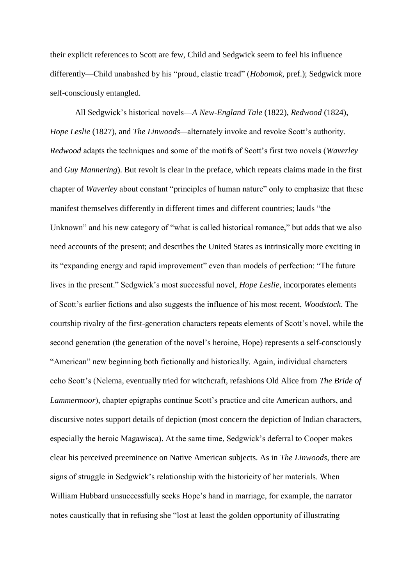their explicit references to Scott are few, Child and Sedgwick seem to feel his influence differently—Child unabashed by his "proud, elastic tread" (*Hobomok*, pref.); Sedgwick more self-consciously entangled.

All Sedgwick's historical novels—*A New-England Tale* (1822), *Redwood* (1824), *Hope Leslie* (1827), and *The Linwoods—*alternately invoke and revoke Scott's authority. *Redwood* adapts the techniques and some of the motifs of Scott's first two novels (*Waverley* and *Guy Mannering*). But revolt is clear in the preface, which repeats claims made in the first chapter of *Waverley* about constant "principles of human nature" only to emphasize that these manifest themselves differently in different times and different countries; lauds "the Unknown" and his new category of "what is called historical romance," but adds that we also need accounts of the present; and describes the United States as intrinsically more exciting in its "expanding energy and rapid improvement" even than models of perfection: "The future lives in the present." Sedgwick's most successful novel, *Hope Leslie*, incorporates elements of Scott's earlier fictions and also suggests the influence of his most recent, *Woodstock*. The courtship rivalry of the first-generation characters repeats elements of Scott's novel, while the second generation (the generation of the novel's heroine, Hope) represents a self-consciously "American" new beginning both fictionally and historically. Again, individual characters echo Scott's (Nelema, eventually tried for witchcraft, refashions Old Alice from *The Bride of Lammermoor*), chapter epigraphs continue Scott's practice and cite American authors, and discursive notes support details of depiction (most concern the depiction of Indian characters, especially the heroic Magawisca). At the same time, Sedgwick's deferral to Cooper makes clear his perceived preeminence on Native American subjects. As in *The Linwoods*, there are signs of struggle in Sedgwick's relationship with the historicity of her materials. When William Hubbard unsuccessfully seeks Hope's hand in marriage, for example, the narrator notes caustically that in refusing she "lost at least the golden opportunity of illustrating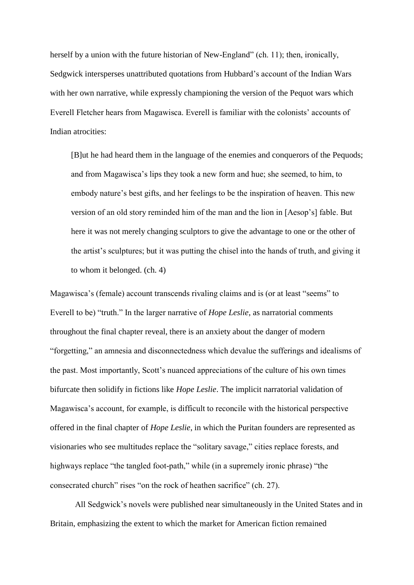herself by a union with the future historian of New-England" (ch. 11); then, ironically, Sedgwick intersperses unattributed quotations from Hubbard's account of the Indian Wars with her own narrative, while expressly championing the version of the Pequot wars which Everell Fletcher hears from Magawisca. Everell is familiar with the colonists' accounts of Indian atrocities:

[B]ut he had heard them in the language of the enemies and conquerors of the Pequods; and from Magawisca's lips they took a new form and hue; she seemed, to him, to embody nature's best gifts, and her feelings to be the inspiration of heaven. This new version of an old story reminded him of the man and the lion in [Aesop's] fable. But here it was not merely changing sculptors to give the advantage to one or the other of the artist's sculptures; but it was putting the chisel into the hands of truth, and giving it to whom it belonged. (ch. 4)

Magawisca's (female) account transcends rivaling claims and is (or at least "seems" to Everell to be) "truth." In the larger narrative of *Hope Leslie*, as narratorial comments throughout the final chapter reveal, there is an anxiety about the danger of modern "forgetting," an amnesia and disconnectedness which devalue the sufferings and idealisms of the past. Most importantly, Scott's nuanced appreciations of the culture of his own times bifurcate then solidify in fictions like *Hope Leslie*. The implicit narratorial validation of Magawisca's account, for example, is difficult to reconcile with the historical perspective offered in the final chapter of *Hope Leslie*, in which the Puritan founders are represented as visionaries who see multitudes replace the "solitary savage," cities replace forests, and highways replace "the tangled foot-path," while (in a supremely ironic phrase) "the consecrated church" rises "on the rock of heathen sacrifice" (ch. 27).

All Sedgwick's novels were published near simultaneously in the United States and in Britain, emphasizing the extent to which the market for American fiction remained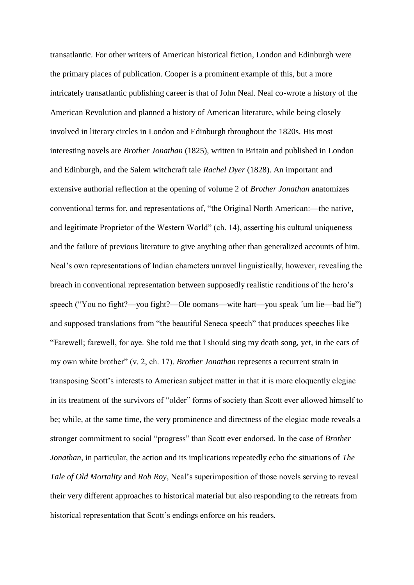transatlantic. For other writers of American historical fiction, London and Edinburgh were the primary places of publication. Cooper is a prominent example of this, but a more intricately transatlantic publishing career is that of John Neal. Neal co-wrote a history of the American Revolution and planned a history of American literature, while being closely involved in literary circles in London and Edinburgh throughout the 1820s. His most interesting novels are *Brother Jonathan* (1825), written in Britain and published in London and Edinburgh, and the Salem witchcraft tale *Rachel Dyer* (1828). An important and extensive authorial reflection at the opening of volume 2 of *Brother Jonathan* anatomizes conventional terms for, and representations of, "the Original North American:—the native, and legitimate Proprietor of the Western World" (ch. 14), asserting his cultural uniqueness and the failure of previous literature to give anything other than generalized accounts of him. Neal's own representations of Indian characters unravel linguistically, however, revealing the breach in conventional representation between supposedly realistic renditions of the hero's speech ("You no fight?—you fight?—Ole oomans—wite hart—you speak ´um lie—bad lie") and supposed translations from "the beautiful Seneca speech" that produces speeches like "Farewell; farewell, for aye. She told me that I should sing my death song, yet, in the ears of my own white brother" (v. 2, ch. 17). *Brother Jonathan* represents a recurrent strain in transposing Scott's interests to American subject matter in that it is more eloquently elegiac in its treatment of the survivors of "older" forms of society than Scott ever allowed himself to be; while, at the same time, the very prominence and directness of the elegiac mode reveals a stronger commitment to social "progress" than Scott ever endorsed. In the case of *Brother Jonathan*, in particular, the action and its implications repeatedly echo the situations of *The Tale of Old Mortality* and *Rob Roy*, Neal's superimposition of those novels serving to reveal their very different approaches to historical material but also responding to the retreats from historical representation that Scott's endings enforce on his readers.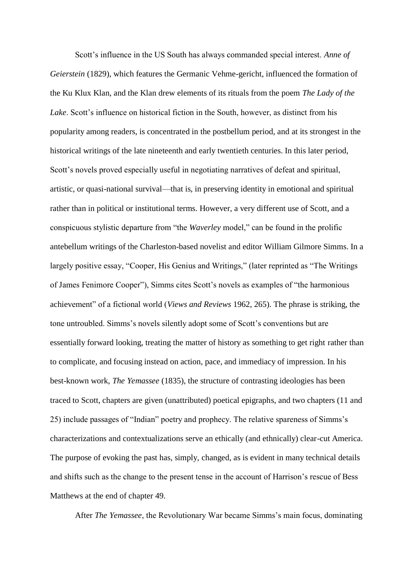Scott's influence in the US South has always commanded special interest. *Anne of Geierstein* (1829), which features the Germanic Vehme-gericht, influenced the formation of the Ku Klux Klan, and the Klan drew elements of its rituals from the poem *The Lady of the Lake*. Scott's influence on historical fiction in the South, however, as distinct from his popularity among readers, is concentrated in the postbellum period, and at its strongest in the historical writings of the late nineteenth and early twentieth centuries. In this later period, Scott's novels proved especially useful in negotiating narratives of defeat and spiritual, artistic, or quasi-national survival—that is, in preserving identity in emotional and spiritual rather than in political or institutional terms. However, a very different use of Scott, and a conspicuous stylistic departure from "the *Waverley* model," can be found in the prolific antebellum writings of the Charleston-based novelist and editor William Gilmore Simms. In a largely positive essay, "Cooper, His Genius and Writings," (later reprinted as "The Writings of James Fenimore Cooper"), Simms cites Scott's novels as examples of "the harmonious achievement" of a fictional world (*Views and Reviews* 1962, 265). The phrase is striking, the tone untroubled. Simms's novels silently adopt some of Scott's conventions but are essentially forward looking, treating the matter of history as something to get right rather than to complicate, and focusing instead on action, pace, and immediacy of impression. In his best-known work, *The Yemassee* (1835), the structure of contrasting ideologies has been traced to Scott, chapters are given (unattributed) poetical epigraphs, and two chapters (11 and 25) include passages of "Indian" poetry and prophecy. The relative spareness of Simms's characterizations and contextualizations serve an ethically (and ethnically) clear-cut America. The purpose of evoking the past has, simply, changed, as is evident in many technical details and shifts such as the change to the present tense in the account of Harrison's rescue of Bess Matthews at the end of chapter 49.

After *The Yemassee*, the Revolutionary War became Simms's main focus, dominating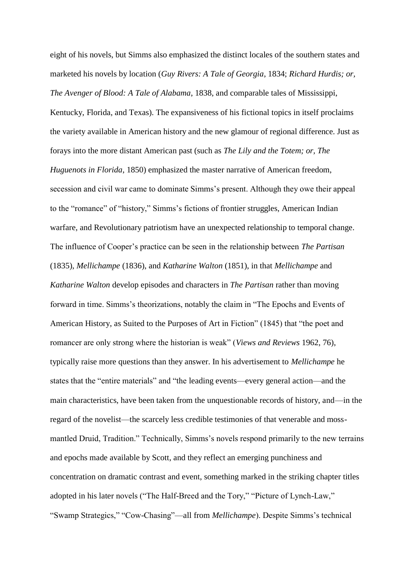eight of his novels, but Simms also emphasized the distinct locales of the southern states and marketed his novels by location (*Guy Rivers: A Tale of Georgia*, 1834; *Richard Hurdis; or, The Avenger of Blood: A Tale of Alabama*, 1838, and comparable tales of Mississippi, Kentucky, Florida, and Texas). The expansiveness of his fictional topics in itself proclaims the variety available in American history and the new glamour of regional difference. Just as forays into the more distant American past (such as *The Lily and the Totem; or, The Huguenots in Florida*, 1850) emphasized the master narrative of American freedom, secession and civil war came to dominate Simms's present. Although they owe their appeal to the "romance" of "history," Simms's fictions of frontier struggles, American Indian warfare, and Revolutionary patriotism have an unexpected relationship to temporal change. The influence of Cooper's practice can be seen in the relationship between *The Partisan* (1835), *Mellichampe* (1836), and *Katharine Walton* (1851), in that *Mellichampe* and *Katharine Walton* develop episodes and characters in *The Partisan* rather than moving forward in time. Simms's theorizations, notably the claim in "The Epochs and Events of American History, as Suited to the Purposes of Art in Fiction" (1845) that "the poet and romancer are only strong where the historian is weak" (*Views and Reviews* 1962, 76), typically raise more questions than they answer. In his advertisement to *Mellichampe* he states that the "entire materials" and "the leading events—every general action—and the main characteristics, have been taken from the unquestionable records of history, and—in the regard of the novelist—the scarcely less credible testimonies of that venerable and mossmantled Druid, Tradition." Technically, Simms's novels respond primarily to the new terrains and epochs made available by Scott, and they reflect an emerging punchiness and concentration on dramatic contrast and event, something marked in the striking chapter titles adopted in his later novels ("The Half-Breed and the Tory," "Picture of Lynch-Law," "Swamp Strategics," "Cow-Chasing"—all from *Mellichampe*). Despite Simms's technical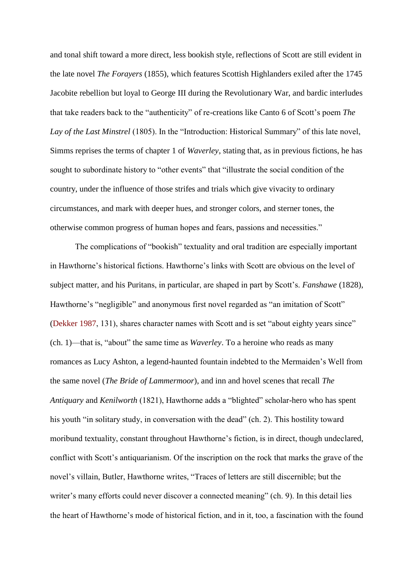and tonal shift toward a more direct, less bookish style, reflections of Scott are still evident in the late novel *The Forayers* (1855), which features Scottish Highlanders exiled after the 1745 Jacobite rebellion but loyal to George III during the Revolutionary War, and bardic interludes that take readers back to the "authenticity" of re-creations like Canto 6 of Scott's poem *The Lay of the Last Minstrel* (1805). In the "Introduction: Historical Summary" of this late novel, Simms reprises the terms of chapter 1 of *Waverley*, stating that, as in previous fictions, he has sought to subordinate history to "other events" that "illustrate the social condition of the country, under the influence of those strifes and trials which give vivacity to ordinary circumstances, and mark with deeper hues, and stronger colors, and sterner tones, the otherwise common progress of human hopes and fears, passions and necessities."

The complications of "bookish" textuality and oral tradition are especially important in Hawthorne's historical fictions. Hawthorne's links with Scott are obvious on the level of subject matter, and his Puritans, in particular, are shaped in part by Scott's. *Fanshawe* (1828), Hawthorne's "negligible" and anonymous first novel regarded as "an imitation of Scott" (Dekker 1987, 131), shares character names with Scott and is set "about eighty years since" (ch. 1)—that is, "about" the same time as *Waverley*. To a heroine who reads as many romances as Lucy Ashton, a legend-haunted fountain indebted to the Mermaiden's Well from the same novel (*The Bride of Lammermoor*), and inn and hovel scenes that recall *The Antiquary* and *Kenilworth* (1821), Hawthorne adds a "blighted" scholar-hero who has spent his youth "in solitary study, in conversation with the dead" (ch. 2). This hostility toward moribund textuality, constant throughout Hawthorne's fiction, is in direct, though undeclared, conflict with Scott's antiquarianism. Of the inscription on the rock that marks the grave of the novel's villain, Butler, Hawthorne writes, "Traces of letters are still discernible; but the writer's many efforts could never discover a connected meaning" (ch. 9). In this detail lies the heart of Hawthorne's mode of historical fiction, and in it, too, a fascination with the found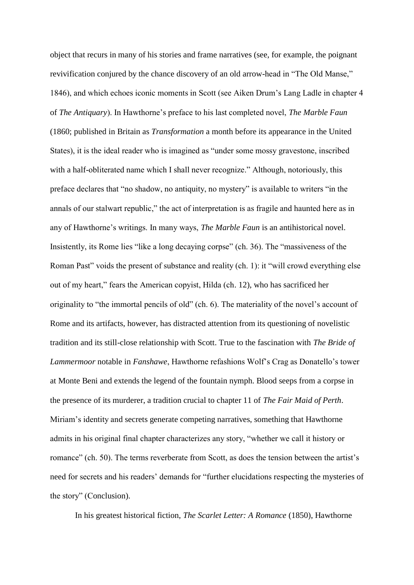object that recurs in many of his stories and frame narratives (see, for example, the poignant revivification conjured by the chance discovery of an old arrow-head in "The Old Manse," 1846), and which echoes iconic moments in Scott (see Aiken Drum's Lang Ladle in chapter 4 of *The Antiquary*). In Hawthorne's preface to his last completed novel, *The Marble Faun* (1860; published in Britain as *Transformation* a month before its appearance in the United States), it is the ideal reader who is imagined as "under some mossy gravestone, inscribed with a half-obliterated name which I shall never recognize." Although, notoriously, this preface declares that "no shadow, no antiquity, no mystery" is available to writers "in the annals of our stalwart republic," the act of interpretation is as fragile and haunted here as in any of Hawthorne's writings. In many ways, *The Marble Faun* is an antihistorical novel. Insistently, its Rome lies "like a long decaying corpse" (ch. 36). The "massiveness of the Roman Past" voids the present of substance and reality (ch. 1): it "will crowd everything else out of my heart," fears the American copyist, Hilda (ch. 12), who has sacrificed her originality to "the immortal pencils of old" (ch. 6). The materiality of the novel's account of Rome and its artifacts, however, has distracted attention from its questioning of novelistic tradition and its still-close relationship with Scott. True to the fascination with *The Bride of Lammermoor* notable in *Fanshawe*, Hawthorne refashions Wolf's Crag as Donatello's tower at Monte Beni and extends the legend of the fountain nymph. Blood seeps from a corpse in the presence of its murderer, a tradition crucial to chapter 11 of *The Fair Maid of Perth*. Miriam's identity and secrets generate competing narratives, something that Hawthorne admits in his original final chapter characterizes any story, "whether we call it history or romance" (ch. 50). The terms reverberate from Scott, as does the tension between the artist's need for secrets and his readers' demands for "further elucidations respecting the mysteries of the story" (Conclusion).

In his greatest historical fiction, *The Scarlet Letter: A Romance* (1850), Hawthorne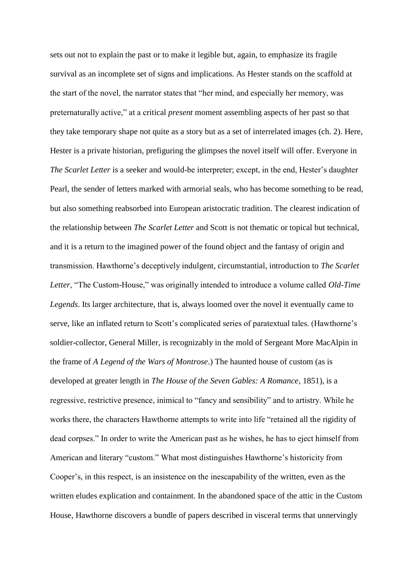sets out not to explain the past or to make it legible but, again, to emphasize its fragile survival as an incomplete set of signs and implications. As Hester stands on the scaffold at the start of the novel, the narrator states that "her mind, and especially her memory, was preternaturally active," at a critical *present* moment assembling aspects of her past so that they take temporary shape not quite as a story but as a set of interrelated images (ch. 2). Here, Hester is a private historian, prefiguring the glimpses the novel itself will offer. Everyone in *The Scarlet Letter* is a seeker and would-be interpreter; except, in the end, Hester's daughter Pearl, the sender of letters marked with armorial seals, who has become something to be read, but also something reabsorbed into European aristocratic tradition. The clearest indication of the relationship between *The Scarlet Letter* and Scott is not thematic or topical but technical, and it is a return to the imagined power of the found object and the fantasy of origin and transmission. Hawthorne's deceptively indulgent, circumstantial, introduction to *The Scarlet Letter*, "The Custom-House," was originally intended to introduce a volume called *Old-Time Legends*. Its larger architecture, that is, always loomed over the novel it eventually came to serve, like an inflated return to Scott's complicated series of paratextual tales. (Hawthorne's soldier-collector, General Miller, is recognizably in the mold of Sergeant More MacAlpin in the frame of *A Legend of the Wars of Montrose*.) The haunted house of custom (as is developed at greater length in *The House of the Seven Gables: A Romance*, 1851), is a regressive, restrictive presence, inimical to "fancy and sensibility" and to artistry. While he works there, the characters Hawthorne attempts to write into life "retained all the rigidity of dead corpses." In order to write the American past as he wishes, he has to eject himself from American and literary "custom." What most distinguishes Hawthorne's historicity from Cooper's, in this respect, is an insistence on the inescapability of the written, even as the written eludes explication and containment. In the abandoned space of the attic in the Custom House, Hawthorne discovers a bundle of papers described in visceral terms that unnervingly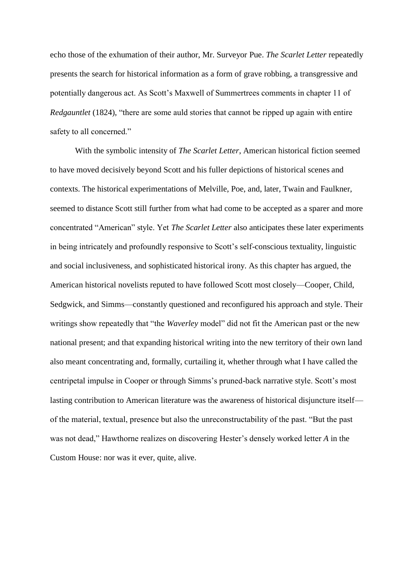echo those of the exhumation of their author, Mr. Surveyor Pue. *The Scarlet Letter* repeatedly presents the search for historical information as a form of grave robbing, a transgressive and potentially dangerous act. As Scott's Maxwell of Summertrees comments in chapter 11 of *Redgauntlet* (1824), "there are some auld stories that cannot be ripped up again with entire safety to all concerned."

With the symbolic intensity of *The Scarlet Letter*, American historical fiction seemed to have moved decisively beyond Scott and his fuller depictions of historical scenes and contexts. The historical experimentations of Melville, Poe, and, later, Twain and Faulkner, seemed to distance Scott still further from what had come to be accepted as a sparer and more concentrated "American" style. Yet *The Scarlet Letter* also anticipates these later experiments in being intricately and profoundly responsive to Scott's self-conscious textuality, linguistic and social inclusiveness, and sophisticated historical irony. As this chapter has argued, the American historical novelists reputed to have followed Scott most closely—Cooper, Child, Sedgwick, and Simms—constantly questioned and reconfigured his approach and style. Their writings show repeatedly that "the *Waverley* model" did not fit the American past or the new national present; and that expanding historical writing into the new territory of their own land also meant concentrating and, formally, curtailing it, whether through what I have called the centripetal impulse in Cooper or through Simms's pruned-back narrative style. Scott's most lasting contribution to American literature was the awareness of historical disjuncture itself of the material, textual, presence but also the unreconstructability of the past. "But the past was not dead," Hawthorne realizes on discovering Hester's densely worked letter *A* in the Custom House: nor was it ever, quite, alive.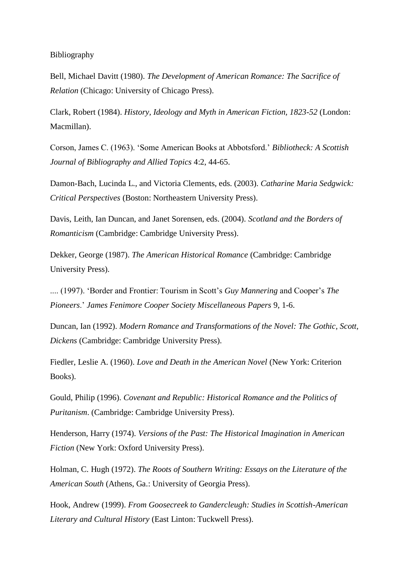## Bibliography

Bell, Michael Davitt (1980). *The Development of American Romance: The Sacrifice of Relation* (Chicago: University of Chicago Press).

Clark, Robert (1984). *History, Ideology and Myth in American Fiction, 1823-52* (London: Macmillan).

Corson, James C. (1963). 'Some American Books at Abbotsford.' *Bibliotheck: A Scottish Journal of Bibliography and Allied Topics* 4:2, 44-65.

Damon-Bach, Lucinda L., and Victoria Clements, eds. (2003). *Catharine Maria Sedgwick: Critical Perspectives* (Boston: Northeastern University Press).

Davis, Leith, Ian Duncan, and Janet Sorensen, eds. (2004). *Scotland and the Borders of Romanticism* (Cambridge: Cambridge University Press).

Dekker, George (1987). *The American Historical Romance* (Cambridge: Cambridge University Press).

.... (1997). 'Border and Frontier: Tourism in Scott's *Guy Mannering* and Cooper's *The Pioneers*.' *James Fenimore Cooper Society Miscellaneous Papers* 9, 1-6.

Duncan, Ian (1992). *Modern Romance and Transformations of the Novel: The Gothic, Scott, Dickens* (Cambridge: Cambridge University Press).

Fiedler, Leslie A. (1960). *Love and Death in the American Novel* (New York: Criterion Books).

Gould, Philip (1996). *Covenant and Republic: Historical Romance and the Politics of Puritanism*. (Cambridge: Cambridge University Press).

Henderson, Harry (1974). *Versions of the Past: The Historical Imagination in American Fiction* (New York: Oxford University Press).

Holman, C. Hugh (1972). *The Roots of Southern Writing: Essays on the Literature of the American South* (Athens, Ga.: University of Georgia Press).

Hook, Andrew (1999). *From Goosecreek to Gandercleugh: Studies in Scottish-American Literary and Cultural History* (East Linton: Tuckwell Press).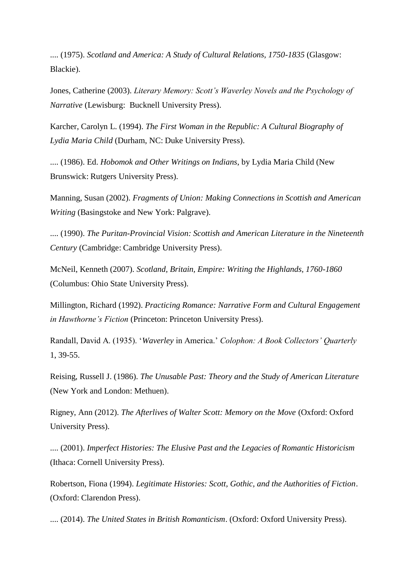.... (1975). *Scotland and America: A Study of Cultural Relations, 1750-1835* (Glasgow: Blackie).

Jones, Catherine (2003). *Literary Memory: Scott's Waverley Novels and the Psychology of Narrative* (Lewisburg: Bucknell University Press).

Karcher, Carolyn L. (1994). *The First Woman in the Republic: A Cultural Biography of Lydia Maria Child* (Durham, NC: Duke University Press).

.... (1986). Ed. *Hobomok and Other Writings on Indians*, by Lydia Maria Child (New Brunswick: Rutgers University Press).

Manning, Susan (2002). *Fragments of Union: Making Connections in Scottish and American Writing* (Basingstoke and New York: Palgrave).

.... (1990). *The Puritan-Provincial Vision: Scottish and American Literature in the Nineteenth Century* (Cambridge: Cambridge University Press).

McNeil, Kenneth (2007). *Scotland, Britain, Empire: Writing the Highlands, 1760-1860* (Columbus: Ohio State University Press).

Millington, Richard (1992). *Practicing Romance: Narrative Form and Cultural Engagement in Hawthorne's Fiction* (Princeton: Princeton University Press).

Randall, David A. (1935). '*Waverley* in America.' *Colophon: A Book Collectors' Quarterly* 1, 39-55.

Reising, Russell J. (1986). *The Unusable Past: Theory and the Study of American Literature* (New York and London: Methuen).

Rigney, Ann (2012). *The Afterlives of Walter Scott: Memory on the Move* (Oxford: Oxford University Press).

.... (2001). *Imperfect Histories: The Elusive Past and the Legacies of Romantic Historicism* (Ithaca: Cornell University Press).

Robertson, Fiona (1994). *Legitimate Histories: Scott, Gothic, and the Authorities of Fiction*. (Oxford: Clarendon Press).

.... (2014). *The United States in British Romanticism*. (Oxford: Oxford University Press).